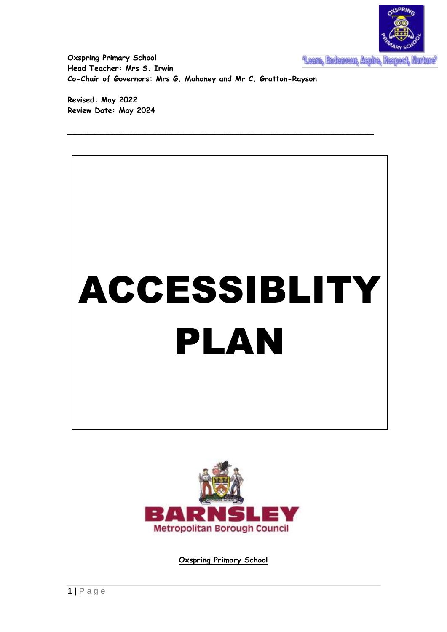

**Oxspring Primary School Head Teacher: Mrs S. Irwin Co-Chair of Governors: Mrs G. Mahoney and Mr C. Gratton-Rayson**

**\_\_\_\_\_\_\_\_\_\_\_\_\_\_\_\_\_\_\_\_\_\_\_\_\_\_\_\_\_\_\_\_\_\_\_\_\_\_\_\_\_\_\_\_\_\_\_\_\_\_\_\_\_\_\_\_\_\_\_\_\_\_\_\_\_**

**Revised: May 2022 Review Date: May 2024**





**Oxspring Primary School**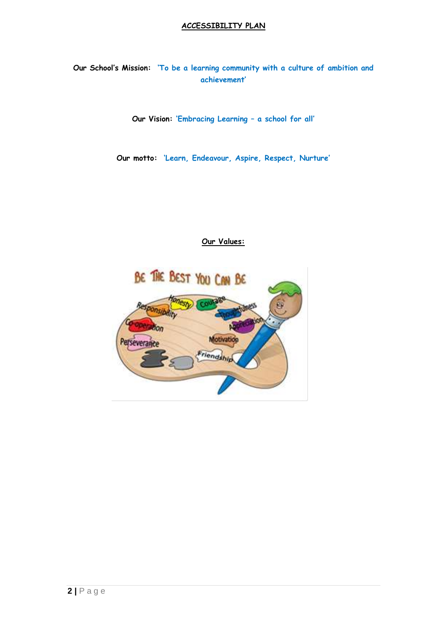#### **ACCESSIBILITY PLAN**

**Our School's Mission: 'To be a learning community with a culture of ambition and achievement'**

**Our Vision: 'Embracing Learning – a school for all'**

**Our motto: 'Learn, Endeavour, Aspire, Respect, Nurture'**

## **Our Values:**

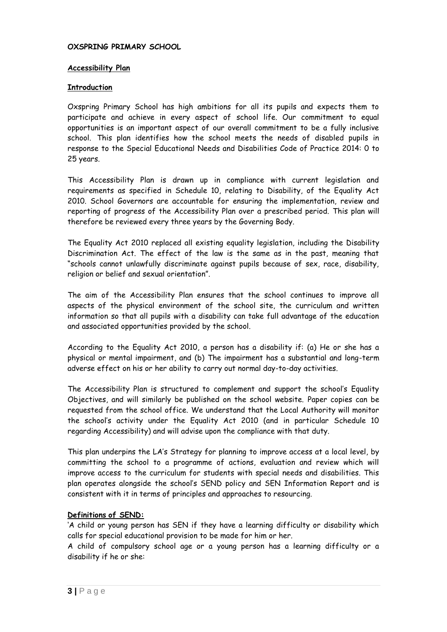#### **OXSPRING PRIMARY SCHOOL**

#### **Accessibility Plan**

#### **Introduction**

Oxspring Primary School has high ambitions for all its pupils and expects them to participate and achieve in every aspect of school life. Our commitment to equal opportunities is an important aspect of our overall commitment to be a fully inclusive school. This plan identifies how the school meets the needs of disabled pupils in response to the Special Educational Needs and Disabilities Code of Practice 2014: 0 to 25 years.

This Accessibility Plan is drawn up in compliance with current legislation and requirements as specified in Schedule 10, relating to Disability, of the Equality Act 2010. School Governors are accountable for ensuring the implementation, review and reporting of progress of the Accessibility Plan over a prescribed period. This plan will therefore be reviewed every three years by the Governing Body.

The Equality Act 2010 replaced all existing equality legislation, including the Disability Discrimination Act. The effect of the law is the same as in the past, meaning that "schools cannot unlawfully discriminate against pupils because of sex, race, disability, religion or belief and sexual orientation".

The aim of the Accessibility Plan ensures that the school continues to improve all aspects of the physical environment of the school site, the curriculum and written information so that all pupils with a disability can take full advantage of the education and associated opportunities provided by the school.

According to the Equality Act 2010, a person has a disability if: (a) He or she has a physical or mental impairment, and (b) The impairment has a substantial and long-term adverse effect on his or her ability to carry out normal day-to-day activities.

The Accessibility Plan is structured to complement and support the school's Equality Objectives, and will similarly be published on the school website. Paper copies can be requested from the school office. We understand that the Local Authority will monitor the school's activity under the Equality Act 2010 (and in particular Schedule 10 regarding Accessibility) and will advise upon the compliance with that duty.

This plan underpins the LA's Strategy for planning to improve access at a local level, by committing the school to a programme of actions, evaluation and review which will improve access to the curriculum for students with special needs and disabilities. This plan operates alongside the school's SEND policy and SEN Information Report and is consistent with it in terms of principles and approaches to resourcing.

## **Definitions of SEND:**

'A child or young person has SEN if they have a learning difficulty or disability which calls for special educational provision to be made for him or her.

A child of compulsory school age or a young person has a learning difficulty or a disability if he or she: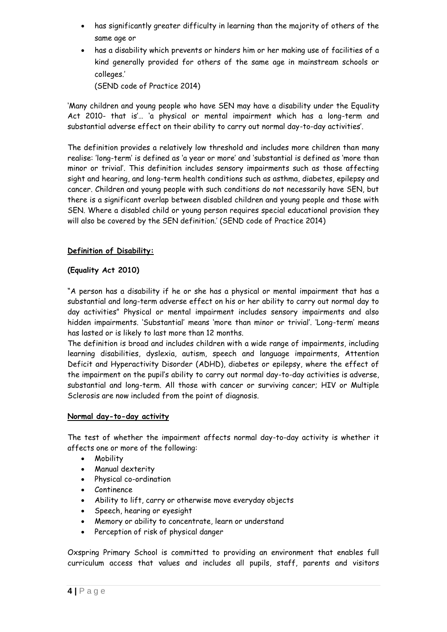- has significantly greater difficulty in learning than the majority of others of the same age or
- has a disability which prevents or hinders him or her making use of facilities of a kind generally provided for others of the same age in mainstream schools or colleges.'

(SEND code of Practice 2014)

'Many children and young people who have SEN may have a disability under the Equality Act 2010- that is'… 'a physical or mental impairment which has a long-term and substantial adverse effect on their ability to carry out normal day-to-day activities'.

The definition provides a relatively low threshold and includes more children than many realise: 'long-term' is defined as 'a year or more' and 'substantial is defined as 'more than minor or trivial'. This definition includes sensory impairments such as those affecting sight and hearing, and long-term health conditions such as asthma, diabetes, epilepsy and cancer. Children and young people with such conditions do not necessarily have SEN, but there is a significant overlap between disabled children and young people and those with SEN. Where a disabled child or young person requires special educational provision they will also be covered by the SEN definition.' (SEND code of Practice 2014)

# **Definition of Disability:**

## **(Equality Act 2010)**

"A person has a disability if he or she has a physical or mental impairment that has a substantial and long-term adverse effect on his or her ability to carry out normal day to day activities" Physical or mental impairment includes sensory impairments and also hidden impairments. 'Substantial' means 'more than minor or trivial'. 'Long-term' means has lasted or is likely to last more than 12 months.

The definition is broad and includes children with a wide range of impairments, including learning disabilities, dyslexia, autism, speech and language impairments, Attention Deficit and Hyperactivity Disorder (ADHD), diabetes or epilepsy, where the effect of the impairment on the pupil's ability to carry out normal day-to-day activities is adverse, substantial and long-term. All those with cancer or surviving cancer; HIV or Multiple Sclerosis are now included from the point of diagnosis.

## **Normal day-to-day activity**

The test of whether the impairment affects normal day-to-day activity is whether it affects one or more of the following:

- Mobility
- Manual dexterity
- Physical co-ordination
- Continence
- Ability to lift, carry or otherwise move everyday objects
- Speech, hearing or eyesight
- Memory or ability to concentrate, learn or understand
- Perception of risk of physical danger

Oxspring Primary School is committed to providing an environment that enables full curriculum access that values and includes all pupils, staff, parents and visitors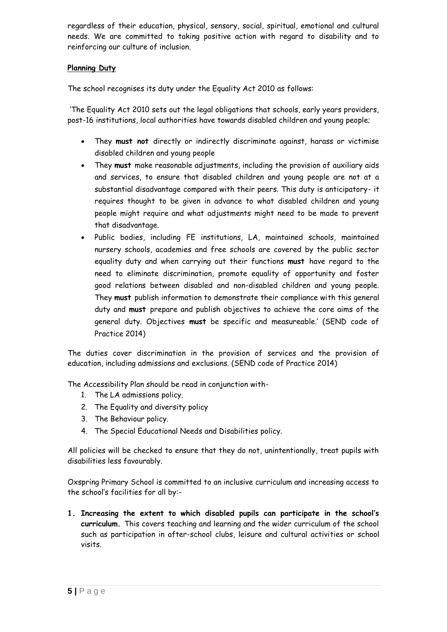regardless of their education, physical, sensory, social, spiritual, emotional and cultural needs. We are committed to taking positive action with regard to disability and to reinforcing our culture of inclusion.

## **Planning Duty**

The school recognises its duty under the Equality Act 2010 as follows:

'The Equality Act 2010 sets out the legal obligations that schools, early years providers, post-16 institutions, local authorities have towards disabled children and young people;

- They **must not** directly or indirectly discriminate against, harass or victimise disabled children and young people
- They **must** make reasonable adjustments, including the provision of auxiliary aids and services, to ensure that disabled children and young people are not at a substantial disadvantage compared with their peers. This duty is anticipatory- it requires thought to be given in advance to what disabled children and young people might require and what adjustments might need to be made to prevent that disadvantage.
- Public bodies, including FE institutions, LA, maintained schools, maintained nursery schools, academies and free schools are covered by the public sector equality duty and when carrying out their functions **must** have regard to the need to eliminate discrimination, promote equality of opportunity and foster good relations between disabled and non-disabled children and young people. They **must** publish information to demonstrate their compliance with this general duty and **must** prepare and publish objectives to achieve the core aims of the general duty. Objectives **must** be specific and measureable.' (SEND code of Practice 2014)

The duties cover discrimination in the provision of services and the provision of education, including admissions and exclusions. (SEND code of Practice 2014)

The Accessibility Plan should be read in conjunction with-

- 1. The LA admissions policy.
- 2. The Equality and diversity policy
- 3. The Behaviour policy.
- 4. The Special Educational Needs and Disabilities policy.

All policies will be checked to ensure that they do not, unintentionally, treat pupils with disabilities less favourably.

Oxspring Primary School is committed to an inclusive curriculum and increasing access to the school's facilities for all by:-

**1. Increasing the extent to which disabled pupils can participate in the school's curriculum.** This covers teaching and learning and the wider curriculum of the school such as participation in after-school clubs, leisure and cultural activities or school visits.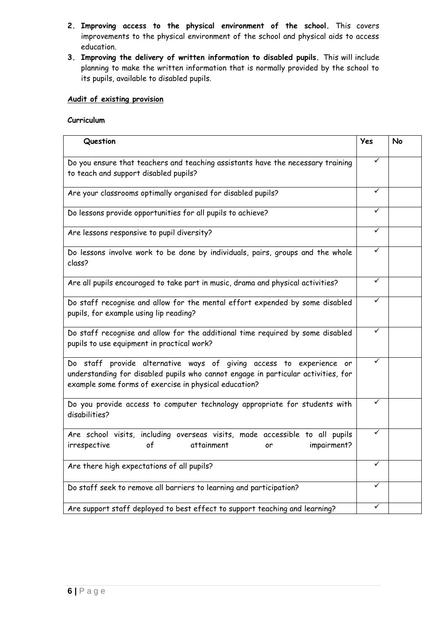- **2. Improving access to the physical environment of the school.** This covers improvements to the physical environment of the school and physical aids to access education.
- **3. Improving the delivery of written information to disabled pupils.** This will include planning to make the written information that is normally provided by the school to its pupils, available to disabled pupils.

## **Audit of existing provision**

# **Curriculum**

| Question                                                                                                                                                                                                          | Yes | <b>No</b> |
|-------------------------------------------------------------------------------------------------------------------------------------------------------------------------------------------------------------------|-----|-----------|
| Do you ensure that teachers and teaching assistants have the necessary training<br>to teach and support disabled pupils?                                                                                          | ✓   |           |
| Are your classrooms optimally organised for disabled pupils?                                                                                                                                                      | ✓   |           |
| Do lessons provide opportunities for all pupils to achieve?                                                                                                                                                       | ✓   |           |
| Are lessons responsive to pupil diversity?                                                                                                                                                                        | ✓   |           |
| Do lessons involve work to be done by individuals, pairs, groups and the whole<br>class?                                                                                                                          | ✓   |           |
| Are all pupils encouraged to take part in music, drama and physical activities?                                                                                                                                   | ✓   |           |
| Do staff recognise and allow for the mental effort expended by some disabled<br>pupils, for example using lip reading?                                                                                            | ✓   |           |
| Do staff recognise and allow for the additional time required by some disabled<br>pupils to use equipment in practical work?                                                                                      | ✓   |           |
| Do staff provide alternative ways of giving access to experience or<br>understanding for disabled pupils who cannot engage in particular activities, for<br>example some forms of exercise in physical education? | ✓   |           |
| Do you provide access to computer technology appropriate for students with<br>disabilities?                                                                                                                       | ✓   |           |
| Are school visits, including overseas visits, made accessible to all pupils<br>impairment?<br>irrespective<br>٥f<br>attainment<br>or                                                                              | ✓   |           |
| Are there high expectations of all pupils?                                                                                                                                                                        | ✓   |           |
| Do staff seek to remove all barriers to learning and participation?                                                                                                                                               | ✓   |           |
| Are support staff deployed to best effect to support teaching and learning?                                                                                                                                       | ✓   |           |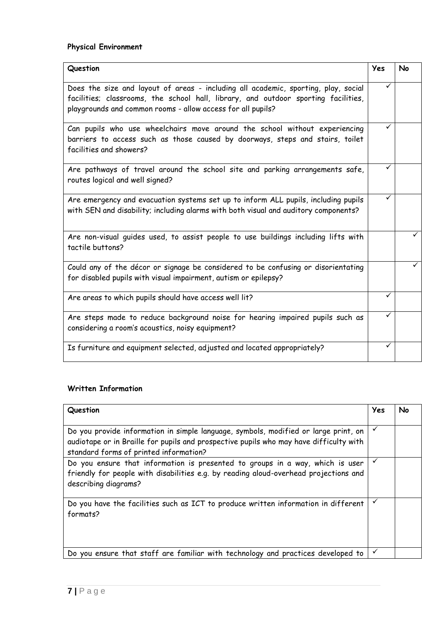| Question                                                                                                                                                                                                                                | Yes | No |
|-----------------------------------------------------------------------------------------------------------------------------------------------------------------------------------------------------------------------------------------|-----|----|
| Does the size and layout of areas - including all academic, sporting, play, social<br>facilities; classrooms, the school hall, library, and outdoor sporting facilities,<br>playgrounds and common rooms - allow access for all pupils? | ✓   |    |
| Can pupils who use wheelchairs move around the school without experiencing<br>barriers to access such as those caused by doorways, steps and stairs, toilet<br>facilities and showers?                                                  | ✓   |    |
| Are pathways of travel around the school site and parking arrangements safe,<br>routes logical and well signed?                                                                                                                         |     |    |
| Are emergency and evacuation systems set up to inform ALL pupils, including pupils<br>with SEN and disability; including alarms with both visual and auditory components?                                                               | ✓   |    |
| Are non-visual quides used, to assist people to use buildings including lifts with<br>tactile buttons?                                                                                                                                  |     |    |
| Could any of the décor or signage be considered to be confusing or disorientating<br>for disabled pupils with visual impairment, autism or epilepsy?                                                                                    |     |    |
| Are areas to which pupils should have access well lit?                                                                                                                                                                                  | ✓   |    |
| Are steps made to reduce background noise for hearing impaired pupils such as<br>considering a room's acoustics, noisy equipment?                                                                                                       | ✓   |    |
| Is furniture and equipment selected, adjusted and located appropriately?                                                                                                                                                                | ✓   |    |

## **Written Information**

| Question                                                                                                                                                                                                                | Yes          | No |
|-------------------------------------------------------------------------------------------------------------------------------------------------------------------------------------------------------------------------|--------------|----|
| Do you provide information in simple language, symbols, modified or large print, on<br>audiotape or in Braille for pupils and prospective pupils who may have difficulty with<br>standard forms of printed information? | ✓            |    |
| Do you ensure that information is presented to groups in a way, which is user<br>friendly for people with disabilities e.g. by reading aloud-overhead projections and<br>describing diagrams?                           | $\checkmark$ |    |
| Do you have the facilities such as ICT to produce written information in different<br>formats?                                                                                                                          | ✓            |    |
| Do you ensure that staff are familiar with technology and practices developed to                                                                                                                                        | ✓            |    |